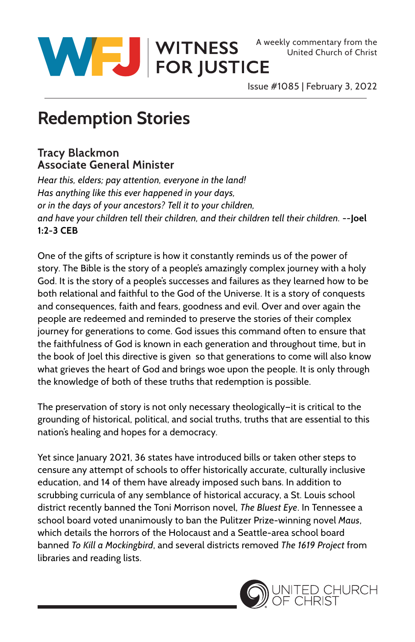

WITNESS A weekly commentary from the United Church of Christ<br>
FOR JUSTICE

Issue #1085 | February 3, 2022

## **Redemption Stories**

## **Tracy Blackmon Associate General Minister**

*Hear this, elders; pay attention, everyone in the land! Has anything like this ever happened in your days, or in the days of your ancestors? Tell it to your children, and have your children tell their children, and their children tell their children.* --**Joel 1:2-3 CEB**

One of the gifts of scripture is how it constantly reminds us of the power of story. The Bible is the story of a people's amazingly complex journey with a holy God. It is the story of a people's successes and failures as they learned how to be both relational and faithful to the God of the Universe. It is a story of conquests and consequences, faith and fears, goodness and evil. Over and over again the people are redeemed and reminded to preserve the stories of their complex journey for generations to come. God issues this command often to ensure that the faithfulness of God is known in each generation and throughout time, but in the book of Joel this directive is given so that generations to come will also know what grieves the heart of God and brings woe upon the people. It is only through the knowledge of both of these truths that redemption is possible.

The preservation of story is not only necessary theologically—it is critical to the grounding of historical, political, and social truths, truths that are essential to this nation's healing and hopes for a democracy.

Yet since January 2021, 36 states have introduced bills or taken other steps to censure any attempt of schools to offer historically accurate, culturally inclusive education, and 14 of them have already imposed such bans. In addition to scrubbing curricula of any semblance of historical accuracy, a St. Louis school district recently banned the Toni Morrison novel, *The Bluest Eye*. In Tennessee a school board voted unanimously to ban the Pulitzer Prize-winning novel *Maus*, which details the horrors of the Holocaust and a Seattle-area school board banned *To Kill a Mockingbird*, and several districts removed *The 1619 Project* from libraries and reading lists.